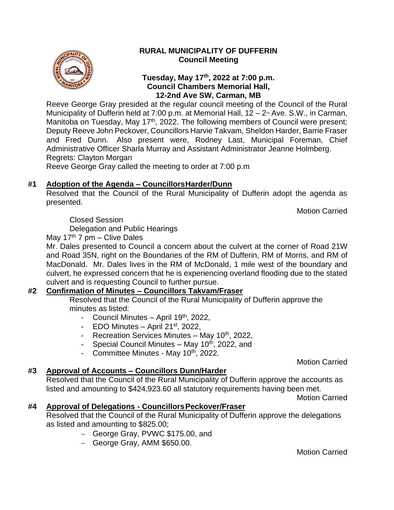

## **RURAL MUNICIPALITY OF DUFFERIN Council Meeting**

## **Tuesday, May 17 th , 2022 at 7:00 p.m. Council Chambers Memorial Hall, 12-2nd Ave SW, Carman, MB**

Reeve George Gray presided at the regular council meeting of the Council of the Rural Municipality of Dufferin held at 7:00 p.m. at Memorial Hall,  $12 - 2$ <sup> $\text{nd}$ </sup> Ave. S.W., in Carman, Manitoba on Tuesday, May 17<sup>th</sup>, 2022. The following members of Council were present; Deputy Reeve John Peckover, Councillors Harvie Takvam, Sheldon Harder, Barrie Fraser and Fred Dunn. Also present were, Rodney Last, Municipal Foreman, Chief Administrative Officer Sharla Murray and Assistant Administrator Jeanne Holmberg. Regrets: Clayton Morgan

Reeve George Gray called the meeting to order at 7:00 p.m

## **#1 Adoption of the Agenda – CouncillorsHarder/Dunn**

Resolved that the Council of the Rural Municipality of Dufferin adopt the agenda as presented.

Motion Carried

Closed Session

Delegation and Public Hearings

May 17<sup>th</sup> 7 pm – Clive Dales

Mr. Dales presented to Council a concern about the culvert at the corner of Road 21W and Road 35N, right on the Boundaries of the RM of Dufferin, RM of Morris, and RM of MacDonald. Mr. Dales lives in the RM of McDonald, 1 mile west of the boundary and culvert, he expressed concern that he is experiencing overland flooding due to the stated culvert and is requesting Council to further pursue.

## **#2 Confirmation of Minutes – Councillors Takvam/Fraser**

Resolved that the Council of the Rural Municipality of Dufferin approve the minutes as listed:

- Council Minutes April  $19<sup>th</sup>$ , 2022,
- EDO Minutes April  $21<sup>st</sup>$ , 2022,
- Recreation Services Minutes May  $10<sup>th</sup>$ , 2022,
- Special Council Minutes May  $10^{th}$ , 2022, and
- Committee Minutes May 10<sup>th</sup>, 2022.

Motion Carried

## **#3 Approval of Accounts – Councillors Dunn/Harder**

Resolved that the Council of the Rural Municipality of Dufferin approve the accounts as listed and amounting to \$424,923.60 all statutory requirements having been met.

Motion Carried

## **#4 Approval of Delegations - CouncillorsPeckover/Fraser**

Resolved that the Council of the Rural Municipality of Dufferin approve the delegations as listed and amounting to \$825.00;

- − George Gray, PVWC \$175.00, and
- − George Gray, AMM \$650.00.

Motion Carried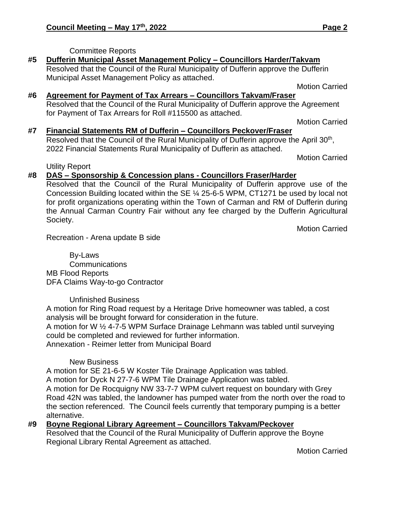## Committee Reports

#### **#5 Dufferin Municipal Asset Management Policy – Councillors Harder/Takvam** Resolved that the Council of the Rural Municipality of Dufferin approve the Dufferin

Municipal Asset Management Policy as attached.

Motion Carried

## **#6 Agreement for Payment of Tax Arrears – Councillors Takvam/Fraser** Resolved that the Council of the Rural Municipality of Dufferin approve the Agreement for Payment of Tax Arrears for Roll #115500 as attached.

Motion Carried

# **#7 Financial Statements RM of Dufferin – Councillors Peckover/Fraser**

Resolved that the Council of the Rural Municipality of Dufferin approve the April 30<sup>th</sup>, 2022 Financial Statements Rural Municipality of Dufferin as attached.

Motion Carried

Utility Report

## **#8 DAS – Sponsorship & Concession plans - Councillors Fraser/Harder**

Resolved that the Council of the Rural Municipality of Dufferin approve use of the Concession Building located within the SE ¼ 25-6-5 WPM, CT1271 be used by local not for profit organizations operating within the Town of Carman and RM of Dufferin during the Annual Carman Country Fair without any fee charged by the Dufferin Agricultural Society.

Motion Carried

Recreation - Arena update B side

By-Laws **Communications** MB Flood Reports DFA Claims Way-to-go Contractor

## Unfinished Business

A motion for Ring Road request by a Heritage Drive homeowner was tabled, a cost analysis will be brought forward for consideration in the future.

A motion for W ½ 4-7-5 WPM Surface Drainage Lehmann was tabled until surveying could be completed and reviewed for further information. Annexation - Reimer letter from Municipal Board

## New Business

A motion for SE 21-6-5 W Koster Tile Drainage Application was tabled.

A motion for Dyck N 27-7-6 WPM Tile Drainage Application was tabled.

A motion for De Rocquigny NW 33-7-7 WPM culvert request on boundary with Grey Road 42N was tabled, the landowner has pumped water from the north over the road to the section referenced. The Council feels currently that temporary pumping is a better alternative.

# **#9 Boyne Regional Library Agreement – Councillors Takvam/Peckover**

Resolved that the Council of the Rural Municipality of Dufferin approve the Boyne Regional Library Rental Agreement as attached.

Motion Carried